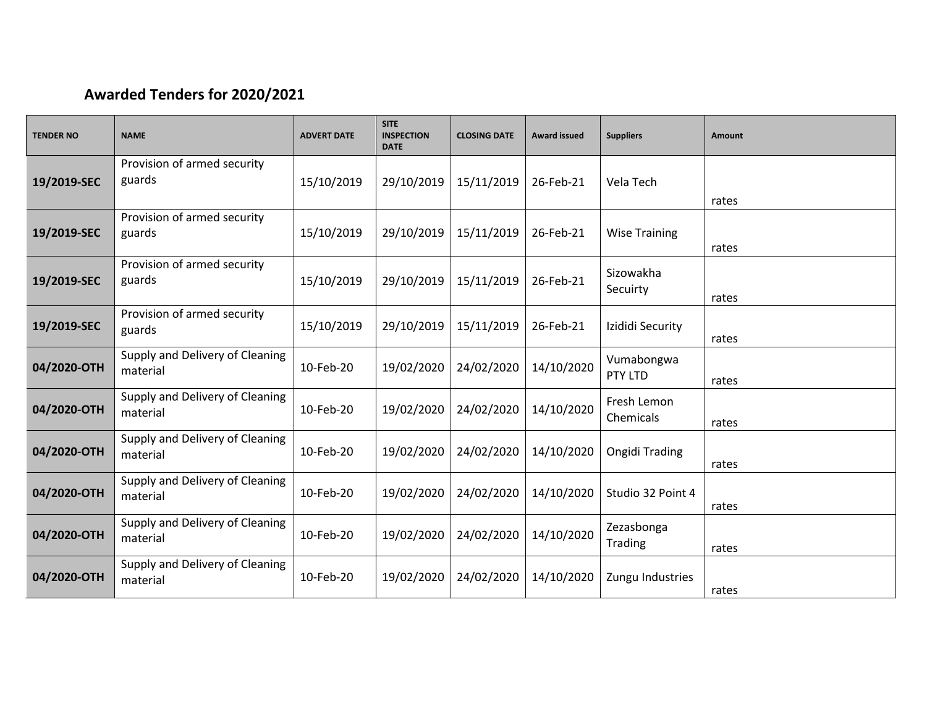## **Awarded Tenders for 2020/2021**

| <b>TENDER NO</b> | <b>NAME</b>                                 | <b>ADVERT DATE</b> | <b>SITE</b><br><b>INSPECTION</b><br><b>DATE</b> | <b>CLOSING DATE</b> | <b>Award issued</b> | <b>Suppliers</b>             | Amount |
|------------------|---------------------------------------------|--------------------|-------------------------------------------------|---------------------|---------------------|------------------------------|--------|
| 19/2019-SEC      | Provision of armed security<br>guards       | 15/10/2019         | 29/10/2019                                      | 15/11/2019          | 26-Feb-21           | Vela Tech                    | rates  |
| 19/2019-SEC      | Provision of armed security<br>guards       | 15/10/2019         | 29/10/2019                                      | 15/11/2019          | 26-Feb-21           | <b>Wise Training</b>         | rates  |
| 19/2019-SEC      | Provision of armed security<br>guards       | 15/10/2019         | 29/10/2019                                      | 15/11/2019          | 26-Feb-21           | Sizowakha<br>Secuirty        | rates  |
| 19/2019-SEC      | Provision of armed security<br>guards       | 15/10/2019         | 29/10/2019                                      | 15/11/2019          | 26-Feb-21           | Izididi Security             | rates  |
| 04/2020-OTH      | Supply and Delivery of Cleaning<br>material | 10-Feb-20          | 19/02/2020                                      | 24/02/2020          | 14/10/2020          | Vumabongwa<br>PTY LTD        | rates  |
| 04/2020-OTH      | Supply and Delivery of Cleaning<br>material | 10-Feb-20          | 19/02/2020                                      | 24/02/2020          | 14/10/2020          | Fresh Lemon<br>Chemicals     | rates  |
| 04/2020-OTH      | Supply and Delivery of Cleaning<br>material | 10-Feb-20          | 19/02/2020                                      | 24/02/2020          | 14/10/2020          | Ongidi Trading               | rates  |
| 04/2020-OTH      | Supply and Delivery of Cleaning<br>material | 10-Feb-20          | 19/02/2020                                      | 24/02/2020          | 14/10/2020          | Studio 32 Point 4            | rates  |
| 04/2020-OTH      | Supply and Delivery of Cleaning<br>material | 10-Feb-20          | 19/02/2020                                      | 24/02/2020          | 14/10/2020          | Zezasbonga<br><b>Trading</b> | rates  |
| 04/2020-OTH      | Supply and Delivery of Cleaning<br>material | 10-Feb-20          | 19/02/2020                                      | 24/02/2020          | 14/10/2020          | Zungu Industries             | rates  |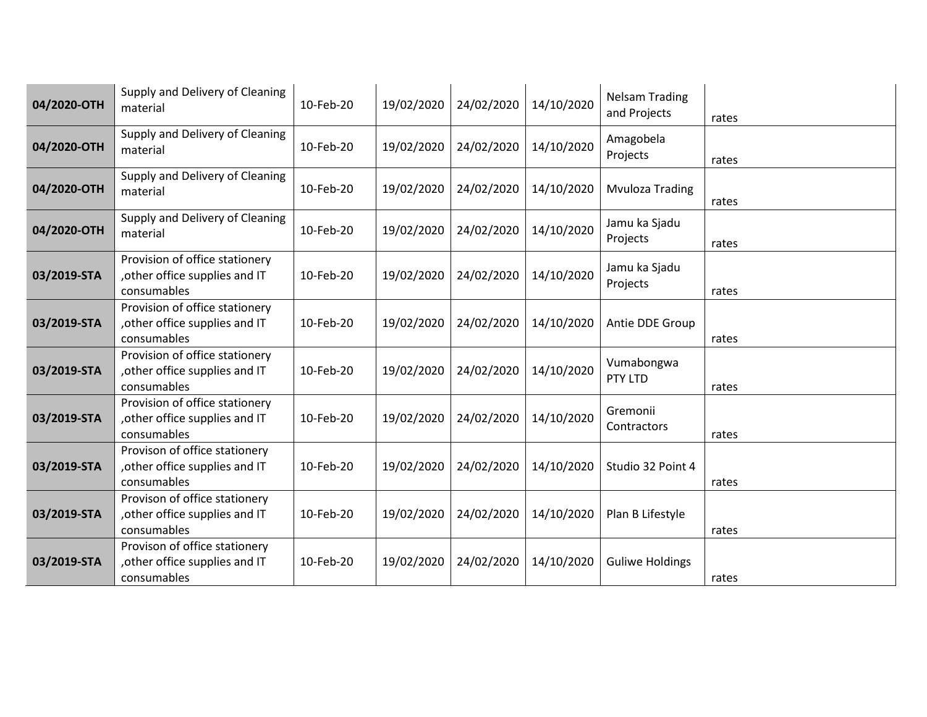| 04/2020-OTH | Supply and Delivery of Cleaning<br>material                                     | 10-Feb-20 | 19/02/2020 | 24/02/2020 | 14/10/2020 | <b>Nelsam Trading</b><br>and Projects | rates |
|-------------|---------------------------------------------------------------------------------|-----------|------------|------------|------------|---------------------------------------|-------|
| 04/2020-OTH | Supply and Delivery of Cleaning<br>material                                     | 10-Feb-20 | 19/02/2020 | 24/02/2020 | 14/10/2020 | Amagobela<br>Projects                 | rates |
| 04/2020-OTH | Supply and Delivery of Cleaning<br>material                                     | 10-Feb-20 | 19/02/2020 | 24/02/2020 | 14/10/2020 | <b>Mvuloza Trading</b>                | rates |
| 04/2020-OTH | Supply and Delivery of Cleaning<br>material                                     | 10-Feb-20 | 19/02/2020 | 24/02/2020 | 14/10/2020 | Jamu ka Sjadu<br>Projects             | rates |
| 03/2019-STA | Provision of office stationery<br>, other office supplies and IT<br>consumables | 10-Feb-20 | 19/02/2020 | 24/02/2020 | 14/10/2020 | Jamu ka Sjadu<br>Projects             | rates |
| 03/2019-STA | Provision of office stationery<br>other office supplies and IT<br>consumables   | 10-Feb-20 | 19/02/2020 | 24/02/2020 | 14/10/2020 | Antie DDE Group                       | rates |
| 03/2019-STA | Provision of office stationery<br>other office supplies and IT<br>consumables   | 10-Feb-20 | 19/02/2020 | 24/02/2020 | 14/10/2020 | Vumabongwa<br>PTY LTD                 | rates |
| 03/2019-STA | Provision of office stationery<br>, other office supplies and IT<br>consumables | 10-Feb-20 | 19/02/2020 | 24/02/2020 | 14/10/2020 | Gremonii<br>Contractors               | rates |
| 03/2019-STA | Provison of office stationery<br>other office supplies and IT<br>consumables    | 10-Feb-20 | 19/02/2020 | 24/02/2020 | 14/10/2020 | Studio 32 Point 4                     | rates |
| 03/2019-STA | Provison of office stationery<br>other office supplies and IT<br>consumables    | 10-Feb-20 | 19/02/2020 | 24/02/2020 | 14/10/2020 | Plan B Lifestyle                      | rates |
| 03/2019-STA | Provison of office stationery<br>other office supplies and IT<br>consumables    | 10-Feb-20 | 19/02/2020 | 24/02/2020 | 14/10/2020 | <b>Guliwe Holdings</b>                | rates |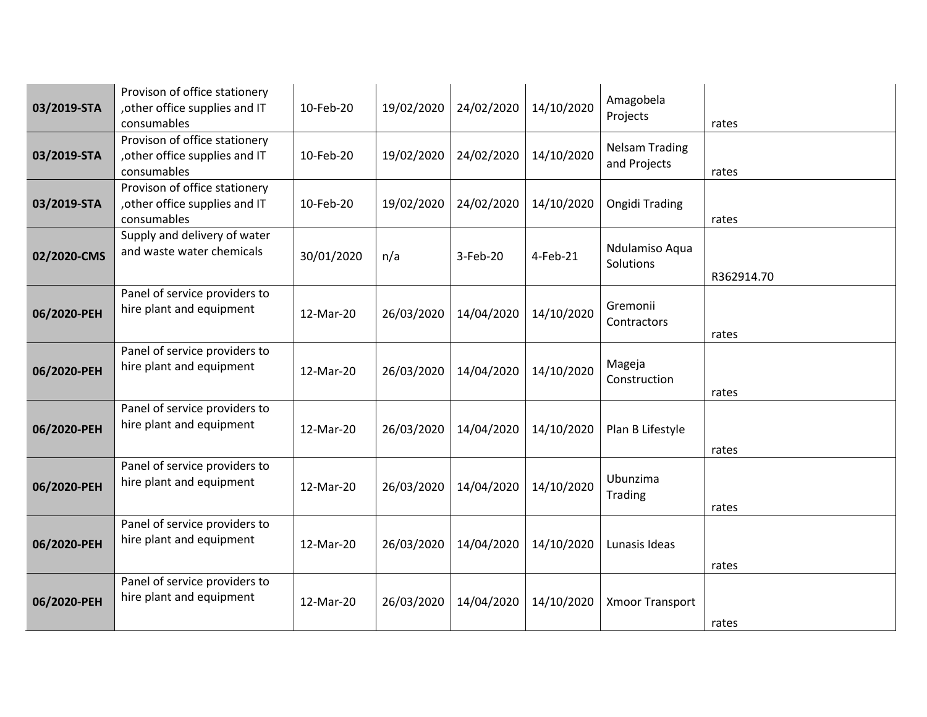| 03/2019-STA | Provison of office stationery<br>, other office supplies and IT<br>consumables | 10-Feb-20  | 19/02/2020 | 24/02/2020 | 14/10/2020 | Amagobela<br>Projects                 | rates      |
|-------------|--------------------------------------------------------------------------------|------------|------------|------------|------------|---------------------------------------|------------|
| 03/2019-STA | Provison of office stationery<br>, other office supplies and IT<br>consumables | 10-Feb-20  | 19/02/2020 | 24/02/2020 | 14/10/2020 | <b>Nelsam Trading</b><br>and Projects | rates      |
| 03/2019-STA | Provison of office stationery<br>, other office supplies and IT<br>consumables | 10-Feb-20  | 19/02/2020 | 24/02/2020 | 14/10/2020 | <b>Ongidi Trading</b>                 | rates      |
| 02/2020-CMS | Supply and delivery of water<br>and waste water chemicals                      | 30/01/2020 | n/a        | $3-Feb-20$ | 4-Feb-21   | Ndulamiso Aqua<br>Solutions           | R362914.70 |
| 06/2020-PEH | Panel of service providers to<br>hire plant and equipment                      | 12-Mar-20  | 26/03/2020 | 14/04/2020 | 14/10/2020 | Gremonii<br>Contractors               | rates      |
| 06/2020-PEH | Panel of service providers to<br>hire plant and equipment                      | 12-Mar-20  | 26/03/2020 | 14/04/2020 | 14/10/2020 | Mageja<br>Construction                | rates      |
| 06/2020-PEH | Panel of service providers to<br>hire plant and equipment                      | 12-Mar-20  | 26/03/2020 | 14/04/2020 | 14/10/2020 | Plan B Lifestyle                      | rates      |
| 06/2020-PEH | Panel of service providers to<br>hire plant and equipment                      | 12-Mar-20  | 26/03/2020 | 14/04/2020 | 14/10/2020 | Ubunzima<br><b>Trading</b>            | rates      |
| 06/2020-PEH | Panel of service providers to<br>hire plant and equipment                      | 12-Mar-20  | 26/03/2020 | 14/04/2020 | 14/10/2020 | Lunasis Ideas                         | rates      |
| 06/2020-PEH | Panel of service providers to<br>hire plant and equipment                      | 12-Mar-20  | 26/03/2020 | 14/04/2020 | 14/10/2020 | <b>Xmoor Transport</b>                | rates      |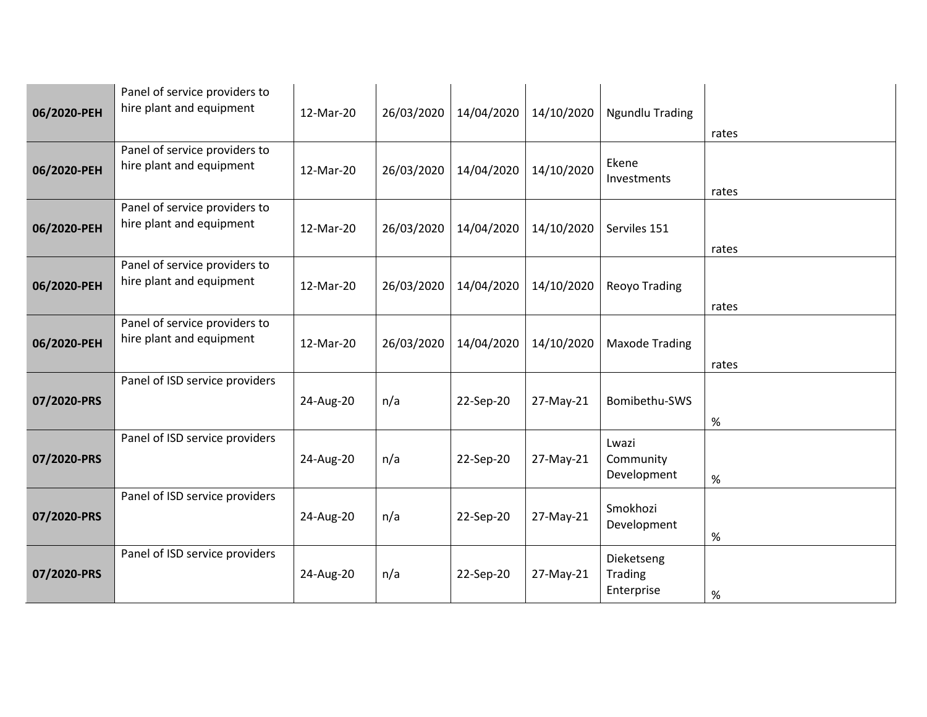| 06/2020-PEH | Panel of service providers to<br>hire plant and equipment | 12-Mar-20 | 26/03/2020 | 14/04/2020 | 14/10/2020 | <b>Ngundlu Trading</b>              | rates |
|-------------|-----------------------------------------------------------|-----------|------------|------------|------------|-------------------------------------|-------|
| 06/2020-PEH | Panel of service providers to<br>hire plant and equipment | 12-Mar-20 | 26/03/2020 | 14/04/2020 | 14/10/2020 | Ekene<br>Investments                | rates |
| 06/2020-PEH | Panel of service providers to<br>hire plant and equipment | 12-Mar-20 | 26/03/2020 | 14/04/2020 | 14/10/2020 | Serviles 151                        | rates |
| 06/2020-PEH | Panel of service providers to<br>hire plant and equipment | 12-Mar-20 | 26/03/2020 | 14/04/2020 | 14/10/2020 | Reoyo Trading                       | rates |
| 06/2020-PEH | Panel of service providers to<br>hire plant and equipment | 12-Mar-20 | 26/03/2020 | 14/04/2020 | 14/10/2020 | <b>Maxode Trading</b>               | rates |
| 07/2020-PRS | Panel of ISD service providers                            | 24-Aug-20 | n/a        | 22-Sep-20  | 27-May-21  | Bomibethu-SWS                       | $\%$  |
| 07/2020-PRS | Panel of ISD service providers                            | 24-Aug-20 | n/a        | 22-Sep-20  | 27-May-21  | Lwazi<br>Community<br>Development   | $\%$  |
| 07/2020-PRS | Panel of ISD service providers                            | 24-Aug-20 | n/a        | 22-Sep-20  | 27-May-21  | Smokhozi<br>Development             | $\%$  |
| 07/2020-PRS | Panel of ISD service providers                            | 24-Aug-20 | n/a        | 22-Sep-20  | 27-May-21  | Dieketseng<br>Trading<br>Enterprise | $\%$  |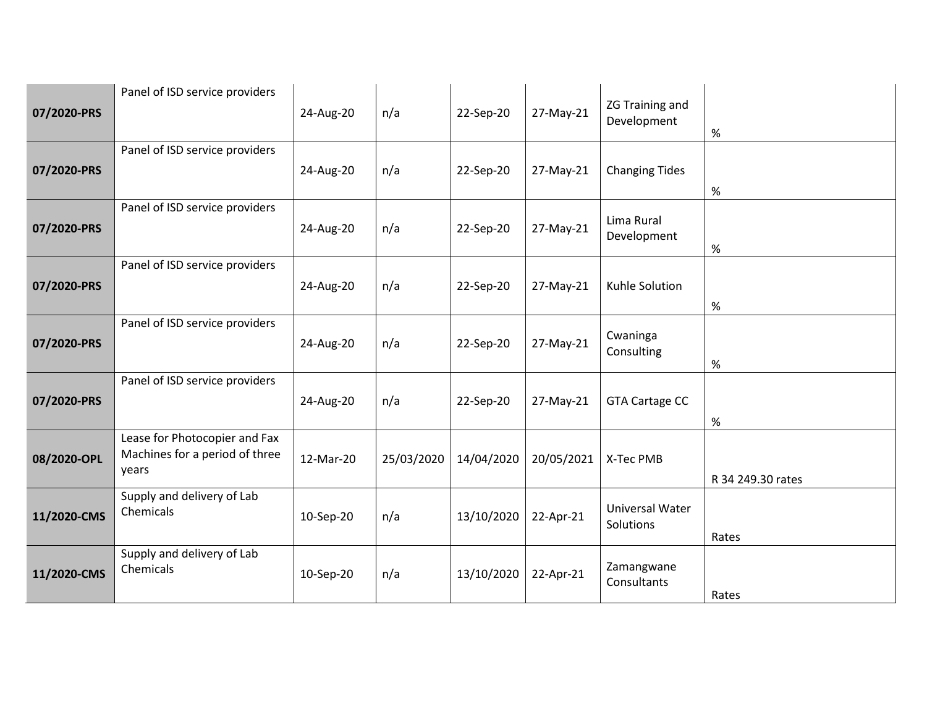| 07/2020-PRS | Panel of ISD service providers                                           | 24-Aug-20 | n/a        | 22-Sep-20  | 27-May-21  | <b>ZG Training and</b><br>Development | $\%$              |
|-------------|--------------------------------------------------------------------------|-----------|------------|------------|------------|---------------------------------------|-------------------|
| 07/2020-PRS | Panel of ISD service providers                                           | 24-Aug-20 | n/a        | 22-Sep-20  | 27-May-21  | <b>Changing Tides</b>                 | $\%$              |
| 07/2020-PRS | Panel of ISD service providers                                           | 24-Aug-20 | n/a        | 22-Sep-20  | 27-May-21  | Lima Rural<br>Development             | $\%$              |
| 07/2020-PRS | Panel of ISD service providers                                           | 24-Aug-20 | n/a        | 22-Sep-20  | 27-May-21  | Kuhle Solution                        | $\%$              |
| 07/2020-PRS | Panel of ISD service providers                                           | 24-Aug-20 | n/a        | 22-Sep-20  | 27-May-21  | Cwaninga<br>Consulting                | $\%$              |
| 07/2020-PRS | Panel of ISD service providers                                           | 24-Aug-20 | n/a        | 22-Sep-20  | 27-May-21  | <b>GTA Cartage CC</b>                 | $\%$              |
| 08/2020-OPL | Lease for Photocopier and Fax<br>Machines for a period of three<br>years | 12-Mar-20 | 25/03/2020 | 14/04/2020 | 20/05/2021 | X-Tec PMB                             | R 34 249.30 rates |
| 11/2020-CMS | Supply and delivery of Lab<br>Chemicals                                  | 10-Sep-20 | n/a        | 13/10/2020 | 22-Apr-21  | Universal Water<br>Solutions          | Rates             |
| 11/2020-CMS | Supply and delivery of Lab<br>Chemicals                                  | 10-Sep-20 | n/a        | 13/10/2020 | 22-Apr-21  | Zamangwane<br>Consultants             | Rates             |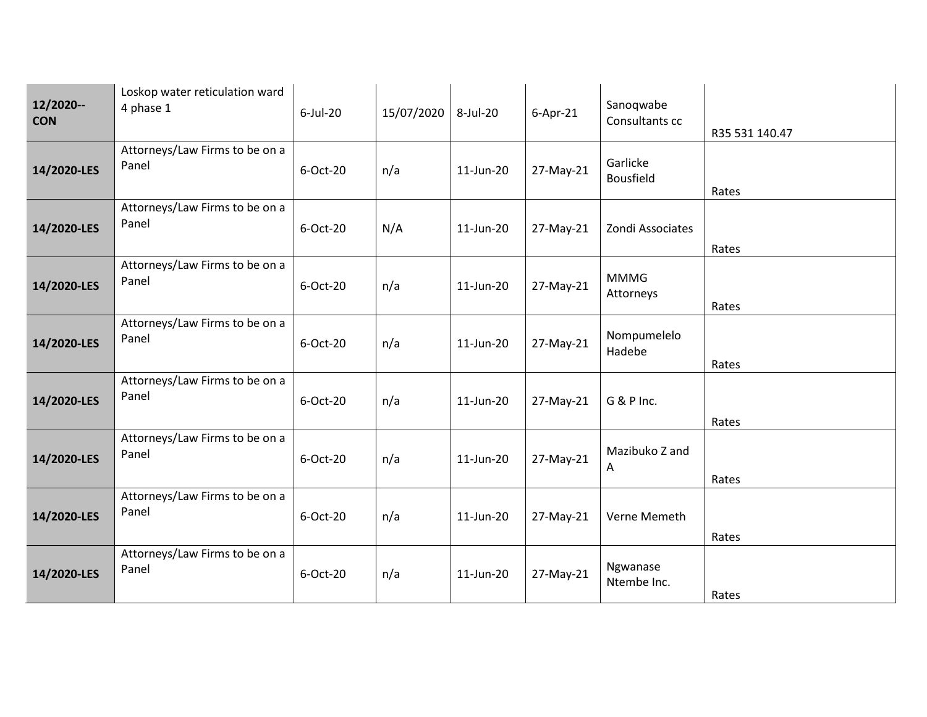| 12/2020--<br><b>CON</b> | Loskop water reticulation ward<br>4 phase 1 | $6$ -Jul-20 | 15/07/2020 | 8-Jul-20  | $6$ -Apr-21 | Sanoqwabe<br>Consultants cc  | R35 531 140.47 |
|-------------------------|---------------------------------------------|-------------|------------|-----------|-------------|------------------------------|----------------|
| 14/2020-LES             | Attorneys/Law Firms to be on a<br>Panel     | 6-Oct-20    | n/a        | 11-Jun-20 | 27-May-21   | Garlicke<br><b>Bousfield</b> | Rates          |
| 14/2020-LES             | Attorneys/Law Firms to be on a<br>Panel     | 6-Oct-20    | N/A        | 11-Jun-20 | 27-May-21   | Zondi Associates             | Rates          |
| 14/2020-LES             | Attorneys/Law Firms to be on a<br>Panel     | 6-Oct-20    | n/a        | 11-Jun-20 | 27-May-21   | <b>MMMG</b><br>Attorneys     | Rates          |
| 14/2020-LES             | Attorneys/Law Firms to be on a<br>Panel     | 6-Oct-20    | n/a        | 11-Jun-20 | 27-May-21   | Nompumelelo<br>Hadebe        | Rates          |
| 14/2020-LES             | Attorneys/Law Firms to be on a<br>Panel     | 6-Oct-20    | n/a        | 11-Jun-20 | 27-May-21   | G & P Inc.                   | Rates          |
| 14/2020-LES             | Attorneys/Law Firms to be on a<br>Panel     | 6-Oct-20    | n/a        | 11-Jun-20 | 27-May-21   | Mazibuko Z and<br>Α          | Rates          |
| 14/2020-LES             | Attorneys/Law Firms to be on a<br>Panel     | 6-Oct-20    | n/a        | 11-Jun-20 | 27-May-21   | Verne Memeth                 | Rates          |
| 14/2020-LES             | Attorneys/Law Firms to be on a<br>Panel     | 6-Oct-20    | n/a        | 11-Jun-20 | 27-May-21   | Ngwanase<br>Ntembe Inc.      | Rates          |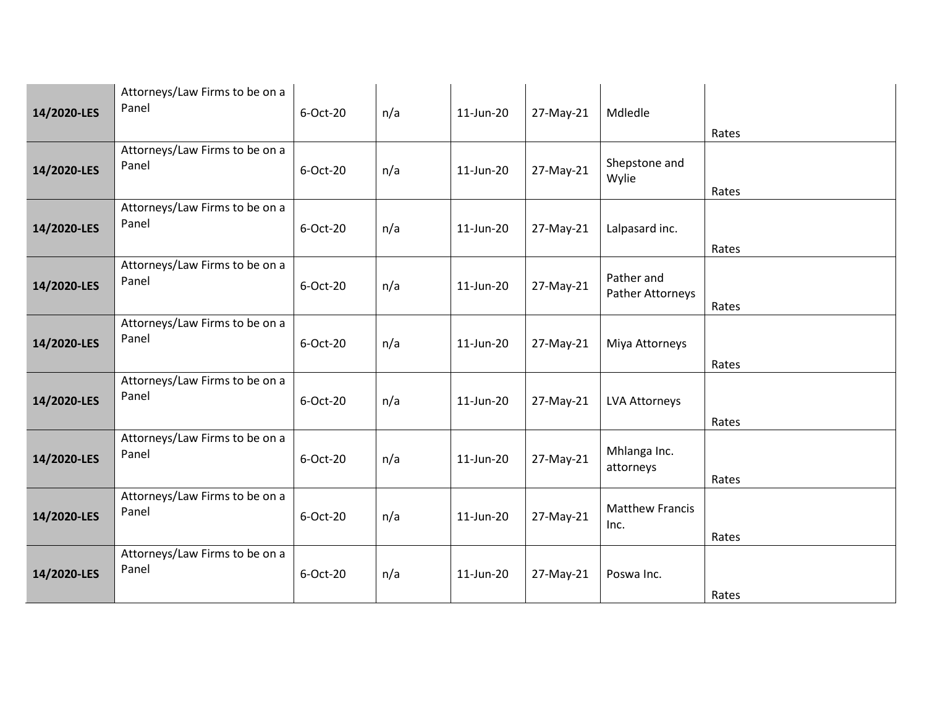| 14/2020-LES | Attorneys/Law Firms to be on a<br>Panel | 6-Oct-20 | n/a | 11-Jun-20 | 27-May-21 | Mdledle                        | Rates |
|-------------|-----------------------------------------|----------|-----|-----------|-----------|--------------------------------|-------|
| 14/2020-LES | Attorneys/Law Firms to be on a<br>Panel | 6-Oct-20 | n/a | 11-Jun-20 | 27-May-21 | Shepstone and<br>Wylie         | Rates |
| 14/2020-LES | Attorneys/Law Firms to be on a<br>Panel | 6-Oct-20 | n/a | 11-Jun-20 | 27-May-21 | Lalpasard inc.                 | Rates |
| 14/2020-LES | Attorneys/Law Firms to be on a<br>Panel | 6-Oct-20 | n/a | 11-Jun-20 | 27-May-21 | Pather and<br>Pather Attorneys | Rates |
| 14/2020-LES | Attorneys/Law Firms to be on a<br>Panel | 6-Oct-20 | n/a | 11-Jun-20 | 27-May-21 | Miya Attorneys                 | Rates |
| 14/2020-LES | Attorneys/Law Firms to be on a<br>Panel | 6-Oct-20 | n/a | 11-Jun-20 | 27-May-21 | LVA Attorneys                  | Rates |
| 14/2020-LES | Attorneys/Law Firms to be on a<br>Panel | 6-Oct-20 | n/a | 11-Jun-20 | 27-May-21 | Mhlanga Inc.<br>attorneys      | Rates |
| 14/2020-LES | Attorneys/Law Firms to be on a<br>Panel | 6-Oct-20 | n/a | 11-Jun-20 | 27-May-21 | <b>Matthew Francis</b><br>Inc. | Rates |
| 14/2020-LES | Attorneys/Law Firms to be on a<br>Panel | 6-Oct-20 | n/a | 11-Jun-20 | 27-May-21 | Poswa Inc.                     | Rates |